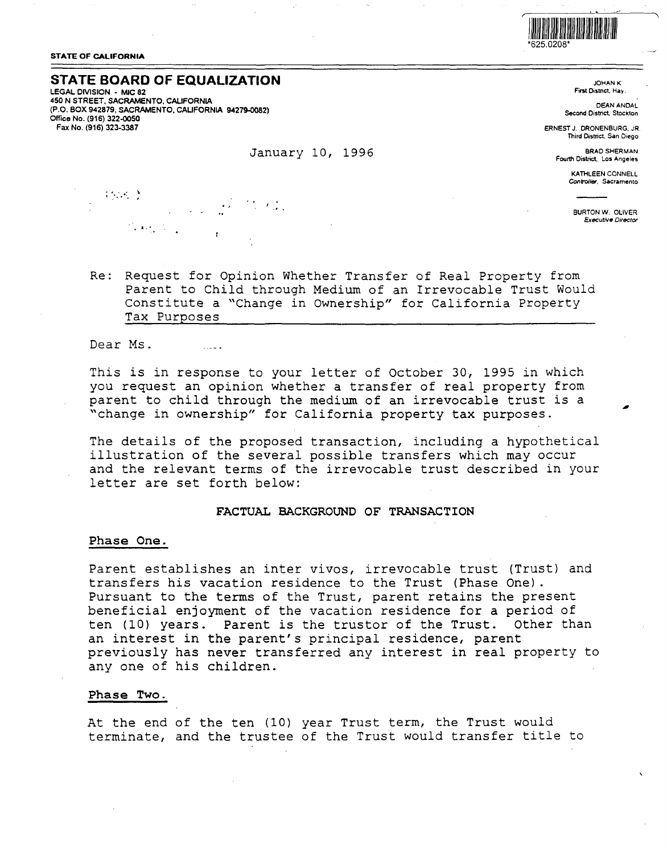

**STATE OF CALIFORNIA** 

### **STATE BOARD OF EQUALIZATION**

**LEGAL OMSION** - **MIC 82 450 N STREET. SACRAMENTO, CALIFORNIA (P.O. BOX 942879, SACRAMENTO, CALIFORNIA 94279-0082) Office No. (916) 322-0050 Fax No. (916) 323-3387** 

#### January 10, 1996

JOHANK First District, Hay.

DEANANDAL **Second** District. Stockton

ERNEST J. DRONENBURG, JR Third District, San Diego

BRAD SHERMAN Fourth District. Los Angeles

> KATHLEEN CONNELL **Contr'oiler. Sacramento**

BURTON W. OLIVER **Executive** Director

Re: Request for Opinion Whether Transfer of Real Property from Parent to Child through Medium of an Irrevocable Trust Would Constitute a "Change in Ownership" for California Property Tax Purposes

Dear Ms.

. For any  $\mathcal{O}(\mathbb{R}^d)$ 

 $\{x_1, x_2, \ldots\}$ 

This is in response to your letter of October *<sup>30</sup> <sup>1</sup>*1995 in which you request an opinion whether a transfer of real property from parent to child through the medium of an irrevocable trust is a "change in ownership" for California property tax purposes.

The details of the proposed transaction, including a hypothetical illustration of the several possible transfers which may occur and the relevant terms of the irrevocable trust described in your letter are set forth below:

### **FACTUAL BACKGROUND OF TRANSACTION**

#### **Phase One.**

Parent establishes an inter vivos, irrevocable trust (Trust) and transfers his vacation residence to the Trust (Phase One). Pursuant to the terms of the Trust, parent retains the present beneficial enjoyment of the vacation residence for a period of ten (10) years. Parent is the trustor of the Trust. Other than an interest in the parent's principal residence, parent previously has never transferred any interest in real property to any one of his children.

#### **Phase Two.**

At the end of the ten (10) year Trust term, the Trust would terminate, and the trustee of the Trust would transfer title to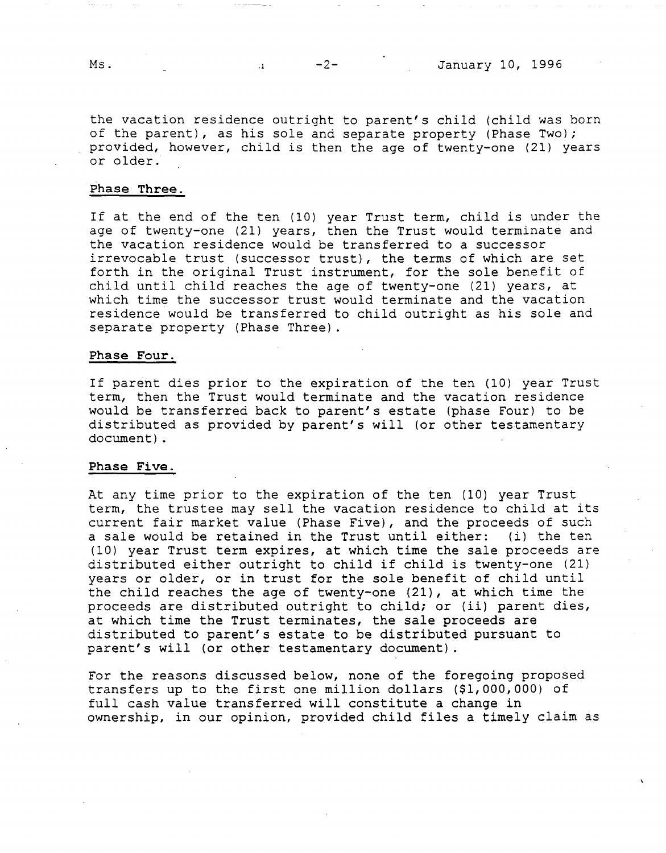the vacation residence outright to parent's child (child was born of the parent), as his sole and separate property (Phase Two); provided, however, child is then the age of twenty-one (21) years or older.

### **Phase Three.**

If at the end of the ten (10) year Trust term, child is under the age of twenty-one (21) years, then the Trust would terminate and the vacation residence would be transferred to a successor irrevocable trust (successor trust), the terms of which are set forth in the original Trust instrument, for the sole benefit of child until child reaches the age of twenty-one (21) years, at which time the successor trust would terminate and the vacation residence would be transferred to child outright as his sole and separate property (Phase Three).

#### **Phase Four.**

If parent dies prior to the expiration of the ten (10) year Trust term, then the Trust would terminate and the vacation residence would be transferred back to parent's estate (phase Four) to be distributed as provided by parent's will (or other testamentary document).

#### **Phase Five.**

At any time prior to the expiration of the ten (10) year Trust term, the trustee may sell the vacation residence to child at its current fair market value (Phase Five), and the proceeds of such a sale would be retained in the Trust until either: (i) the ten (10) year Trust term expires, at which time the sale proceeds are distributed either outright to child if child is twenty-one (21) years or older, or in trust for the sole benefit of child until the child reaches the age of twenty-one (21), at which time the proceeds are distributed outright to child; or (ii) parent dies, at which time the Trust terminates, the sale proceeds are distributed to parent's estate to be distributed pursuant to parent's will (or other testamentary document).

For the reasons discussed below, none of the foregoing proposed transfers up to the first one million dollars (\$1,000,000) of full cash value transferred will constitute a change in ownership, in our opinion, provided child files a timely claim as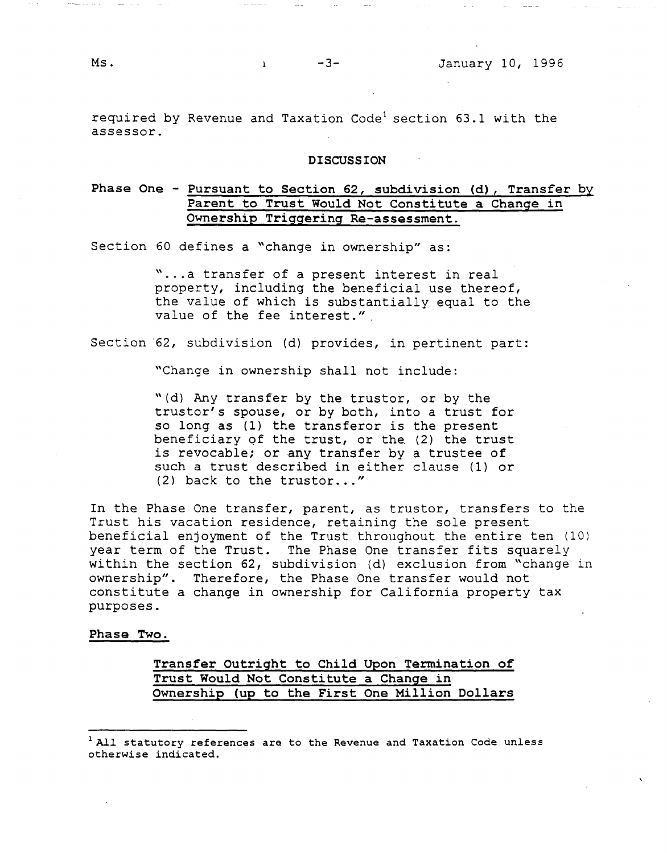required by Revenue and Taxation Code<sup>1</sup> section 63.1 with the assessor.

#### **DISCUSSION**

# **Phase One** - **Pursuant to Section 62, subdivision (d), Transfer by Parent to Trust Would Not Constitute a Change in Ownership Triggering Re-assessment.**

Section 60 defines a "change in ownership" as:

"...a transfer of a present interest in real property, including the beneficial use thereof, the value of which is substantially equal to the value of the fee interest."

Section 62, subdivision (d) provides, in pertinent part:

"Change in ownership shall not include:

"(d) Any transfer by the trustor, or by the truster's spouse, or by both, into a trust for so long as (1) the transferor is the present beneficiary qf the trust, or the (2) the trust is revocable; or any transfer by a trustee of such a trust described in either clause (1) or (2) back to the trustor..."

In the Phase One transfer, parent, as trustor, transfers to the Trust his vacation residence, retaining the sole present beneficial enjoyment of the Trust throughout the entire ten (10) year term of the Trust. The Phase One transfer fits squarely within the section 62, subdivision (d) exclusion from "change in ownership". Therefore, the Phase One transfer would not constitute a change in ownership for California property tax purposes.

**Phase Two.** 

## **Transfer Outright to Child Upon Termination of Trust Would Not Constitute a Change in Ownership (up to the First One Million Dollars**

<sup>&</sup>lt;sup>1</sup> All statutory references are to the Revenue and Taxation Code unless otherwise indicated.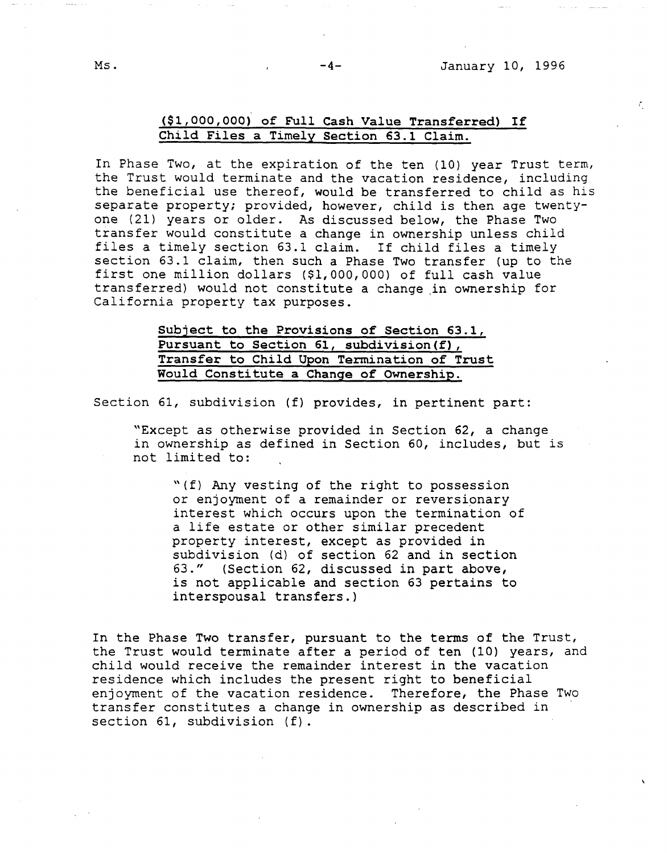£.

# **(\$1,000,000) of Full Cash Value Transferred) If Child Files a Timely Section 63.1 Claim.**

In Phase Two, at the expiration of the ten (10) year Trust term, the Trust would terminate and the vacation residence, including the beneficial use thereof, would be transferred to child as his separate property; provided, however, child is then age twentyone (21) years or older. As discussed below, the Phase Two transfer would constitute a change in ownership unless child files a timely section 63.1 claim. If child files a timely section 63.1 claim, then such a Phase Two transfer (up to the first one million dollars (\$1,000,000) of full cash value transferred) would not constitute a change in ownership for California property tax purposes.

> **Subject to the Provisions of Section 63.1, Pursuant to Section 61, subdivision(f), Transfer to Child Upon Termination of Trust Would Constitute a Change of Ownership.**

Section 61, subdivision (f) provides, in pertinent part:

"Except as otherwise provided in Section 62, a change in ownership as defined in Section 60, includes, but is not limited to:

"(f) Any vesting of the right to possession or enjoyment of a remainder or reversionary interest which occurs upon the termination of a life estate or other similar precedent property interest, except as provided in subdivision (d) of section 62 and in section 63." (Section 62, discussed in part above, is not applicable and section 63 pertains to interspousal transfers.)

In the Phase Two transfer, pursuant to the terms of the Trust, the Trust would terminate after a period of ten (10) years, and child would receive the remainder interest in the vacation residence which includes the present right to beneficial enjoyment of the vacation residence. Therefore, the Phase Two transfer constitutes a change in ownership as described in section 61, subdivision (f).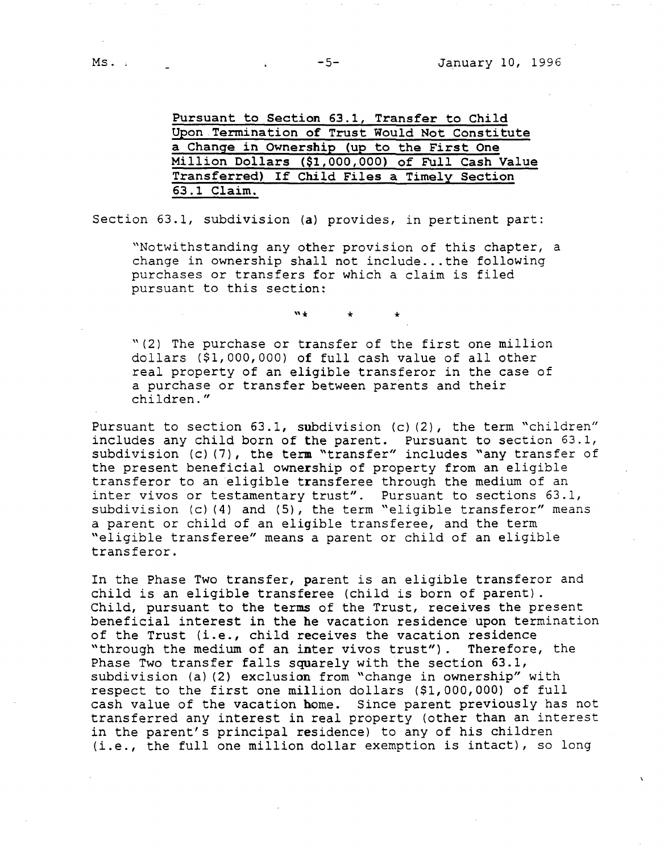**Pursuant to Section 63.1, Transfer to Child Upon Termination of Trust Would Not Constitute a Change in Ownership (up to the First One Million Dollars (\$1,000,000) of Full Cash Value Transferred) If Child Files a Timely Section 63.1 Claim.** 

Section 63.1, subdivision **(a)** provides, in pertinent part:

"Notwithstanding any other provision of this chapter, a change in ownership shall not include ... the following purchases or transfers for which a claim is filed pursuant to this section:

"\* \* \*

"(2) The purchase or transfer of the first one million dollars (\$1,000,000) of full cash value of all other real property of an eligible transferor in the case of a purchase or transfer between parents and their children."

Pursuant to section 63.1, subdivision (c) (2), the term "children" includes any child born of the parent. Pursuant to section 63.1, subdivision (c) (7), the term "transfer" includes "any transfer of the present beneficial **ownership** of property from an eligible transferor to an eligible transferee through the medium of an inter vivos or testamentary trust". Pursuant to sections 63.1, subdivision  $(c)$  (4) and (5), the term "eligible transferor" means a parent or child of an eligible transferee, and the term "eligible transferee" means a parent or child of an eligible transferor.

In the Phase Two transfer, parent is an eligible transferor and child is an eligible transferee (child is born of parent). Child, pursuant to the terms of the Trust, receives the present beneficial interest in the he vacation residence upon termination of the Trust (i.e., child receives the vacation residence "through the medium of an inter vivos trust"). Therefore, the Phase Two transfer falls squarely with the section 63.1, subdivision (a) (2) exclusion from "change in ownership" with respect to the first one million dollars (\$1,000,000) of full cash value of the vacation home. Since parent previously has not transferred any interest in real property (other than an interest in the parent's principal residence) to any of his children (i.e., the full one million dollar exemption is intact), so long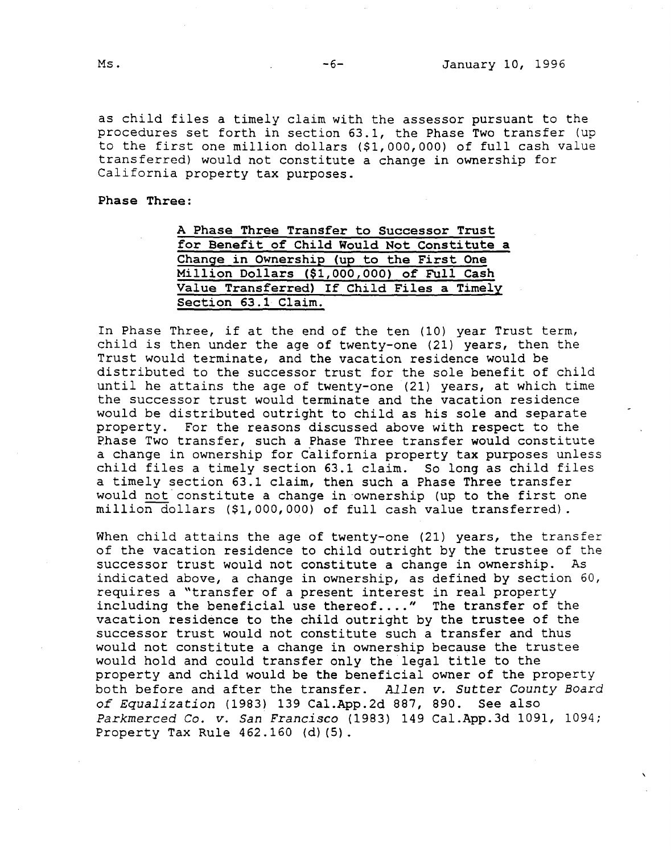as child files a timely claim with the assessor pursuant to the procedures set forth in section 63.1, the Phase Two transfer (up to the first one million dollars (\$1,000,000) of full cash value transferred) would not constitute a change in ownership for California property tax purposes.

**Phase Three:** 

| A Phase Three Transfer to Successor Trust   |  |
|---------------------------------------------|--|
| for Benefit of Child Would Not Constitute a |  |
| Change in Ownership (up to the First One    |  |
| Million Dollars (\$1,000,000) of Full Cash  |  |
| Value Transferred) If Child Files a Timely  |  |
| Section 63.1 Claim.                         |  |

In Phase Three, if at the end of the ten (10) year Trust term, child is then under the age of twenty-one (21) years, then the Trust would terminate, and the vacation residence would be distributed to the successor trust for the sole benefit of child until he attains the age of twenty-one (21) years, at which time the successor trust would terminate and the vacation residence would be distributed outright to child as his sole and separate property. For the reasons discussed above with respect to the Phase Two transfer, such a Phase Three transfer would constitute a change in ownership for California property tax purposes unless child files a timely section 63.1 claim. So long as child files a timely section 63.1 claim, then such a Phase Three transfer would not constitute a change in ownership (up to the first one million dollars (\$1,000,000) of full cash value transferred).

When child attains the age of twenty-one (21) years, the transfer of the vacation residence to child outright by the trustee of the successor trust would not constitute a change in ownership. As indicated above, a change in ownership, as defined by section 60, requires a "transfer of a present interest in real property including the beneficial use thereof...." The transfer of the vacation residence to the child outright by the trustee of the successor trust would not constitute such a transfer and thus would not constitute a change in ownership because the trustee would hold and could transfer only the legal title to the property and child would be the beneficial owner of the property both before and after the transfer. *Allen v. Sutter County Board of Equalization* (1983) 139 Cal.App.2d 887, 890. See also *Parkmerced* Co. *v. San Francisco* (1983) 149 Cal.App.3d 1091, 1094; Property Tax Rule 462.160 (d) (5).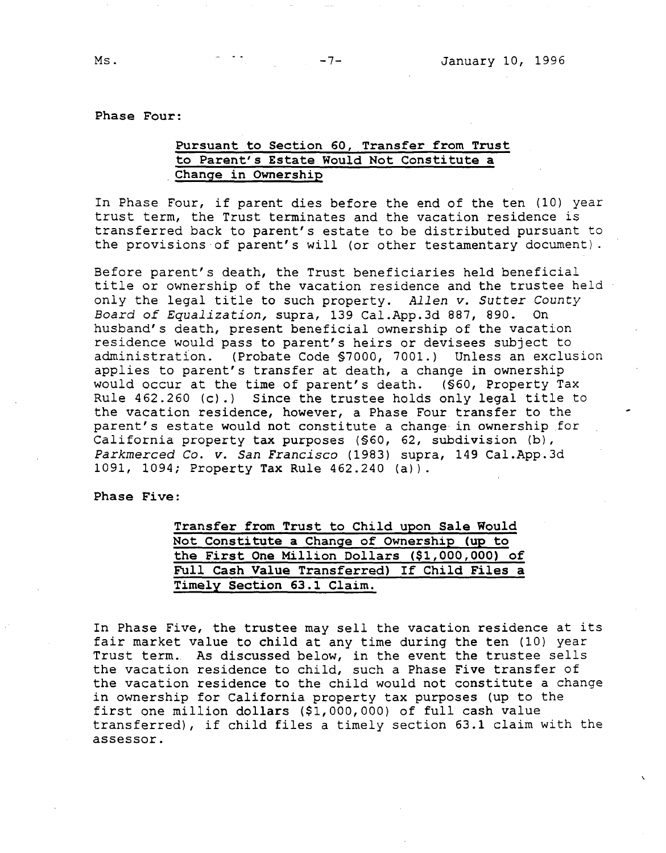**Phase Four:** 

### **Pursuant to Section 60, Transfer from Trust to Parent's Estate Would Not Constitute a**  . **Change in Ownership**

In Phase Four, if parent dies before the end of the ten (10) year trust term, the Trust terminates and the vacation residence is transferred back to parent's estate to be distributed pursuant to the provisions of parent's will (or other testamentary document).

Before parent's death, the Trust beneficiaries held beneficial title or ownership of the vacation residence and the trustee held only the legal title to such property. *Allen v. Sutter County Board of Equalization,* supra, 139 Cal.App.3d 887, 890. On husband's death, present beneficial ownership of the vacation residence would pass to parent's heirs or devisees subject to administration. (Probate Code §7000, 7001.) Unless an exclusion applies to parent's transfer at death, a change in ownership would occur at the time of parent's death. (§60, Property Tax Rule 462.260 (c) .) Since the trustee holds only legal title to the vacation residence, however, a Phase Four transfer to the parent's estate would not constitute a change in ownership for California property tax purposes (§60, 62, subdivision (b), *Parkmerced Co. v. San Francisco* (1983) supra, 149 Cal.App.3d 1091, 1094; Property Tax Rule 462.240 (a)).

**Phase Five:** 

| Transfer from Trust to Child upon Sale Would   |  |
|------------------------------------------------|--|
| Not Constitute a Change of Ownership (up to    |  |
| the First One Million Dollars (\$1,000,000) of |  |
| Full Cash Value Transferred) If Child Files a  |  |
| Timely Section 63.1 Claim.                     |  |

In Phase Five, the trustee may sell the vacation residence at its fair market value to child at any time during the ten (10) year Trust term. As discussed below, in the event the trustee sells the vacation residence to child, such a Phase Five transfer of the vacation residence to the child would not constitute a change in ownership for California property tax purposes (up to the first one million dollars (\$1,000,000) of full cash value transferred), if child files a timely section 63.1 claim with the assessor.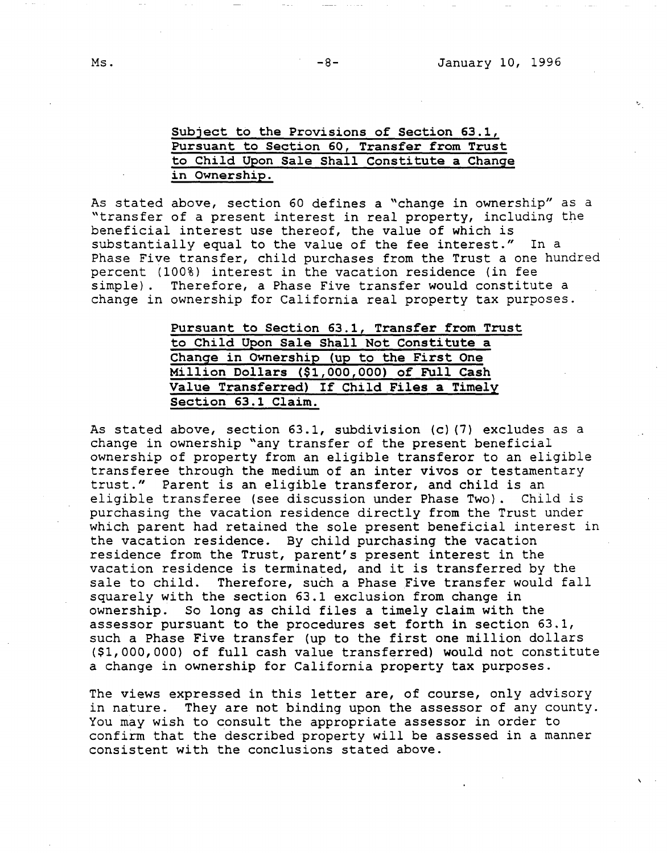# Subject to **the Provisions** of **Section 63.1,**  Pursuant **to Section** 60, **Transfer from Trust**  to Child **Upon** Sale Shall Constitute **a Change in Ownership.**

As stated above, section 60 defines a "change in ownership" as a "transfer of a present interest in real property, including the beneficial interest use thereof, the value of which is substantially equal to the value of the fee interest." In a Phase Five transfer, child purchases from the Trust a one hundred percent (100%) interest in the vacation residence (in fee simple). Therefore, a Phase Five transfer would constitute a change in ownership for California real property tax purposes.

> **Pursuant to Section 63.1, Transfer from Trust to Child Upon Sale Shall Not Constitute a Change in Ownership (up to the First One Million Dollars (\$1,000,000) of Full Cash Value Transferred)** If **Child.Files a Timely Section 63.1 Claim.**

As stated above, section 63.1, subdivision (c) (7) excludes as a change in ownership "any transfer of the present beneficial ownership of property from an eligible transferor to an eligible transferee through the medium of an inter vivos or testamentary trust." Parent is an eligible transferor, and child is an eligible transferee (see discussion under Phase Two). Child is purchasing the vacation residence directly from the Trust under which parent had retained the sole present beneficial interest in the vacation residence. By child purchasing the vacation residence from the Trust, parent's present interest in the vacation residence is terminated, and it is transferred by the sale to child. Therefore, such a Phase Five transfer would fall squarely with the section 63.1 exclusion from change in ownership. So long as child files a timely claim with the assessor pursuant to the procedures set forth in section 63.1, such a Phase Five transfer (up to the first one million dollars (\$1,000,000) of full cash value transferred) would not constitute a change in ownership for California property tax purposes.

The views expressed in this letter are, of course, only advisory in nature. They are not binding upon the assessor of any county. You may wish to consult the appropriate assessor in order to confirm that the described property will be assessed in a manner consistent with the conclusions stated above.